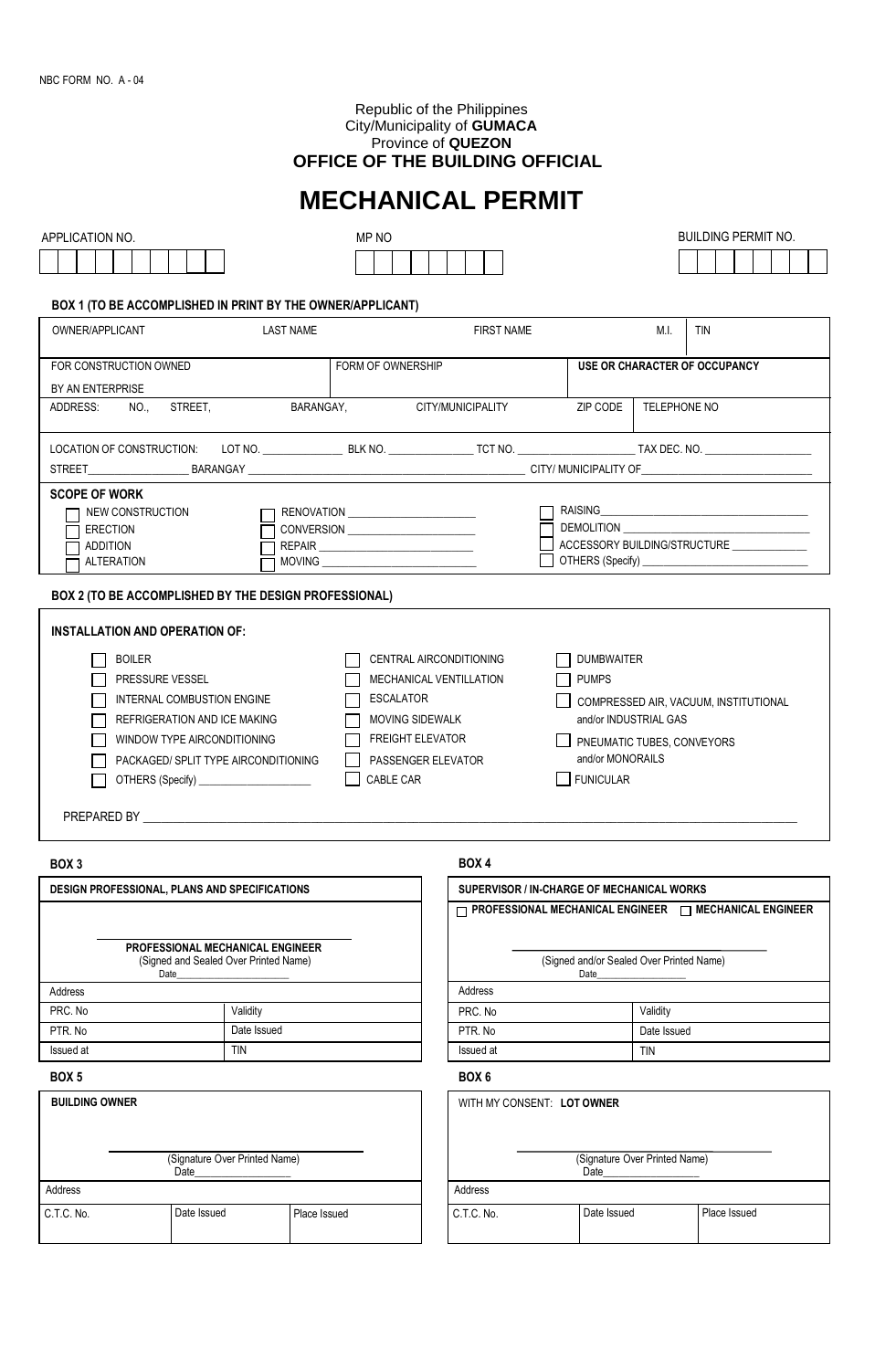#### Republic of the Philippines City/Municipality of **GUMACA** Province of **QUEZON OFFICE OF THE BUILDING OFFICIAL**

# **MECHANICAL PERMIT**

| <b>APPLICATION NO.</b> |  |  |  |  |  |  |  |  |
|------------------------|--|--|--|--|--|--|--|--|
|                        |  |  |  |  |  |  |  |  |



#### **BOX 1 (TO BE ACCOMPLISHED IN PRINT BY THE OWNER/APPLICANT)**

| <b>LAST NAME</b><br>OWNER/APPLICANT                                                                 |  | <b>FIRST NAME</b>                                                                                                                       |                   | M.I          | <b>TIN</b>                                                                                                                                                                                                                                                                        |  |  |
|-----------------------------------------------------------------------------------------------------|--|-----------------------------------------------------------------------------------------------------------------------------------------|-------------------|--------------|-----------------------------------------------------------------------------------------------------------------------------------------------------------------------------------------------------------------------------------------------------------------------------------|--|--|
| FOR CONSTRUCTION OWNED                                                                              |  | FORM OF OWNERSHIP                                                                                                                       |                   |              | USE OR CHARACTER OF OCCUPANCY                                                                                                                                                                                                                                                     |  |  |
| BY AN ENTERPRISE                                                                                    |  |                                                                                                                                         |                   |              |                                                                                                                                                                                                                                                                                   |  |  |
| ADDRESS: NO., STREET,                                                                               |  | BARANGAY.<br>CITY/MUNICIPALITY                                                                                                          | ZIP CODE          | TELEPHONE NO |                                                                                                                                                                                                                                                                                   |  |  |
|                                                                                                     |  | LOCATION OF CONSTRUCTION:  LOT NO. ________________BLK NO. _______________TCT NO. _______________________TAX DEC. NO. _________________ |                   |              |                                                                                                                                                                                                                                                                                   |  |  |
|                                                                                                     |  |                                                                                                                                         |                   |              |                                                                                                                                                                                                                                                                                   |  |  |
| <b>SCOPE OF WORK</b><br>NEW CONSTRUCTION<br><b>ERECTION</b><br><b>ADDITION</b><br><b>ALTERATION</b> |  |                                                                                                                                         |                   |              | RAISING <b>Experimental Contract Contract Contract Contract Contract Contract Contract Contract Contract Contract Contract Contract Contract Contract Contract Contract Contract Contract Contract Contract Contract Contract Co</b><br>ACCESSORY BUILDING/STRUCTURE ____________ |  |  |
| BOX 2 (TO BE ACCOMPLISHED BY THE DESIGN PROFESSIONAL)                                               |  |                                                                                                                                         |                   |              |                                                                                                                                                                                                                                                                                   |  |  |
| <b>INSTALLATION AND OPERATION OF:</b>                                                               |  |                                                                                                                                         |                   |              |                                                                                                                                                                                                                                                                                   |  |  |
| <b>BOILER</b>                                                                                       |  | CENTRAL AIRCONDITIONING                                                                                                                 | <b>DUMBWAITER</b> |              |                                                                                                                                                                                                                                                                                   |  |  |
| <b>PRESSIRE VESSEL</b>                                                                              |  | MECHANICAL VENTILLATION                                                                                                                 | PHMPS             |              |                                                                                                                                                                                                                                                                                   |  |  |

| PRESSURE VESSEL                      | MECHANICAL VENTILLATION | <b>PUMPS</b>                          |
|--------------------------------------|-------------------------|---------------------------------------|
| INTERNAL COMBUSTION ENGINE           | ESCALATOR               | COMPRESSED AIR, VACUUM, INSTITUTIONAL |
| REFRIGERATION AND ICE MAKING         | MOVING SIDEWALK         | and/or INDUSTRIAL GAS                 |
| WINDOW TYPE AIRCONDITIONING          | <b>FREIGHT ELEVATOR</b> | PNEUMATIC TUBES, CONVEYORS            |
| PACKAGED/ SPLIT TYPE AIRCONDITIONING | PASSENGER ELEVATOR      | and/or MONORAILS                      |
| OTHERS (Specify) ______              | CABLE CAR               | <b>FUNICULAR</b>                      |
|                                      |                         |                                       |

PREPARED BY

#### **BOX 3**

#### **DESIGN PROFESSIONAL, PLANS AND SPECIFICATIONS PROFESSIONAL MECHANICAL ENGINEER** (Signed and Sealed Over Printed Name) Date\_\_\_\_\_\_\_\_\_\_\_\_\_\_\_\_\_\_\_\_\_\_\_\_ Issued at PRC. No PTR. No **Validity** Date Issued TIN Address and the contract of the contract of the contract of the contract of the contract of the contract of the contract of the contract of the contract of the contract of the contract of the contract of the contract of th

| <b>BUILDING OWNER</b> |                                       |              |            | WITH MY CONSENT: LOT OWNER |
|-----------------------|---------------------------------------|--------------|------------|----------------------------|
|                       | (Signature Over Printed Name)<br>Date |              |            | (Signature<br>Date         |
| Address               |                                       |              | Address    |                            |
| C.T.C. No.            | Date Issued                           | Place Issued | C.T.C. No. | Date Iss                   |

#### **BOX 4**

| SUPERVISOR / IN-CHARGE OF MECHANICAL WORKS                         |             |  |  |  |  |  |  |
|--------------------------------------------------------------------|-------------|--|--|--|--|--|--|
| $\neg$ PROFESSIONAL MECHANICAL ENGINEER $\Box$ MECHANICAL ENGINEER |             |  |  |  |  |  |  |
|                                                                    |             |  |  |  |  |  |  |
| (Signed and/or Sealed Over Printed Name)<br>Date                   |             |  |  |  |  |  |  |
| Address                                                            |             |  |  |  |  |  |  |
| PRC. No                                                            | Validity    |  |  |  |  |  |  |
| PTR. No                                                            | Date Issued |  |  |  |  |  |  |
| Issued at                                                          | <b>TIN</b>  |  |  |  |  |  |  |

#### **BOX 5 BOX 6**

| WITH MY CONSENT: LOT OWNER            |  |             |              |  |  |  |  |  |
|---------------------------------------|--|-------------|--------------|--|--|--|--|--|
| (Signature Over Printed Name)<br>Date |  |             |              |  |  |  |  |  |
| Address                               |  |             |              |  |  |  |  |  |
| C.T.C. No.                            |  | Date Issued | Place Issued |  |  |  |  |  |